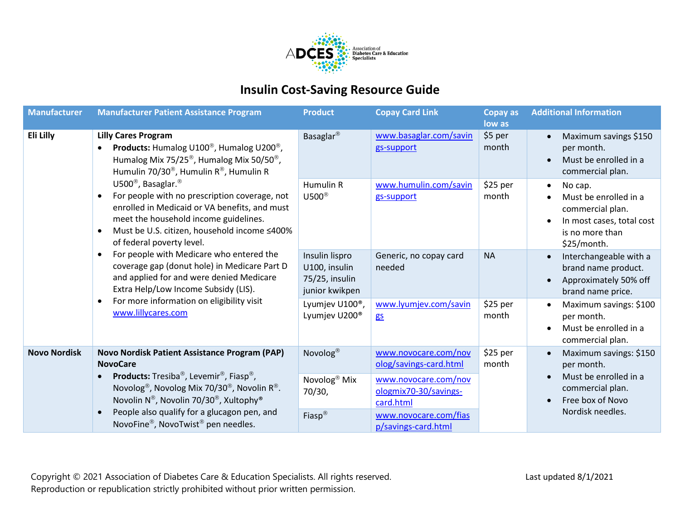

## **Insulin Cost-Saving Resource Guide**

| <b>Manufacturer</b>                                             | <b>Manufacturer Patient Assistance Program</b>                                                                                                                                                                                                                                                                                                                                                                                                                               | <b>Product</b>                                                      | <b>Copay Card Link</b>                                                                                     | <b>Copay as</b><br>low as | <b>Additional Information</b>                                                                                                    |
|-----------------------------------------------------------------|------------------------------------------------------------------------------------------------------------------------------------------------------------------------------------------------------------------------------------------------------------------------------------------------------------------------------------------------------------------------------------------------------------------------------------------------------------------------------|---------------------------------------------------------------------|------------------------------------------------------------------------------------------------------------|---------------------------|----------------------------------------------------------------------------------------------------------------------------------|
| Eli Lilly                                                       | <b>Lilly Cares Program</b><br>Products: Humalog U100 <sup>®</sup> , Humalog U200 <sup>®</sup> ,<br>Humalog Mix 75/25 <sup>®</sup> , Humalog Mix 50/50 <sup>®</sup> ,<br>Humulin 70/30 <sup>®</sup> , Humulin R <sup>®</sup> , Humulin R                                                                                                                                                                                                                                      | Basaglar <sup>®</sup>                                               | www.basaglar.com/savin<br>gs-support                                                                       | \$5 per<br>month          | Maximum savings \$150<br>$\bullet$<br>per month.<br>Must be enrolled in a<br>$\bullet$<br>commercial plan.                       |
|                                                                 | U500 <sup>®</sup> , Basaglar. <sup>®</sup><br>For people with no prescription coverage, not<br>$\bullet$<br>enrolled in Medicaid or VA benefits, and must<br>meet the household income guidelines.<br>Must be U.S. citizen, household income ≤400%<br>$\bullet$<br>of federal poverty level.<br>For people with Medicare who entered the<br>coverage gap (donut hole) in Medicare Part D<br>and applied for and were denied Medicare<br>Extra Help/Low Income Subsidy (LIS). | <b>Humulin R</b><br>$U500^{\circledR}$                              | www.humulin.com/savin<br>gs-support                                                                        | \$25 per<br>month         | No cap.<br>$\bullet$<br>Must be enrolled in a<br>commercial plan.<br>In most cases, total cost<br>is no more than<br>\$25/month. |
|                                                                 |                                                                                                                                                                                                                                                                                                                                                                                                                                                                              | Insulin lispro<br>U100, insulin<br>75/25, insulin<br>junior kwikpen | Generic, no copay card<br>needed                                                                           | <b>NA</b>                 | Interchangeable with a<br>$\bullet$<br>brand name product.<br>Approximately 50% off<br>brand name price.                         |
| For more information on eligibility visit<br>www.lillycares.com |                                                                                                                                                                                                                                                                                                                                                                                                                                                                              | Lyumjev U100 <sup>®</sup> ,<br>Lyumjev U200 <sup>®</sup>            | www.lyumjev.com/savin<br><b>gs</b>                                                                         | \$25 per<br>month         | Maximum savings: \$100<br>$\bullet$<br>per month.<br>Must be enrolled in a<br>commercial plan.                                   |
| <b>Novo Nordisk</b>                                             | Novo Nordisk Patient Assistance Program (PAP)<br><b>NovoCare</b><br><b>Products:</b> Tresiba <sup>®</sup> , Levemir <sup>®</sup> , Fiasp <sup>®</sup> ,<br>Novolog®, Novolog Mix 70/30®, Novolin R®.<br>Novolin N®, Novolin 70/30®, Xultophy®<br>People also qualify for a glucagon pen, and<br>NovoFine®, NovoTwist® pen needles.                                                                                                                                           | Novolog®                                                            | www.novocare.com/nov<br>olog/savings-card.html                                                             | \$25 per<br>month         | Maximum savings: \$150<br>$\bullet$<br>per month.                                                                                |
|                                                                 |                                                                                                                                                                                                                                                                                                                                                                                                                                                                              | Novolog <sup>®</sup> Mix<br>70/30,<br>Fiasp®                        | www.novocare.com/nov<br>ologmix70-30/savings-<br>card.html<br>www.novocare.com/fias<br>p/savings-card.html |                           | Must be enrolled in a<br>$\bullet$<br>commercial plan.<br>Free box of Novo<br>$\bullet$<br>Nordisk needles.                      |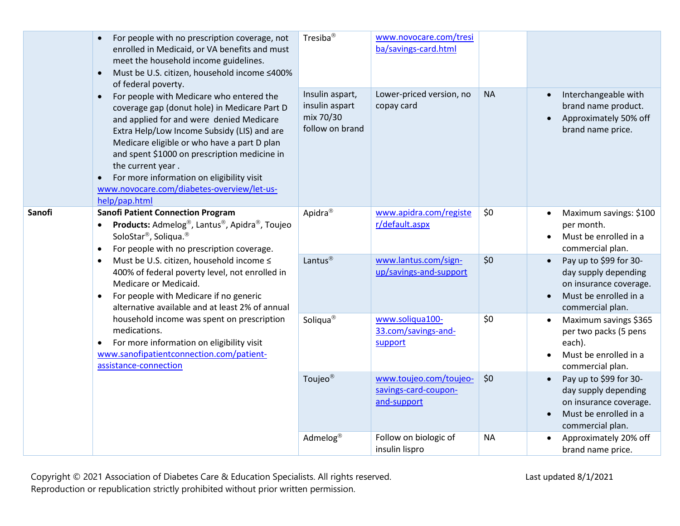| $\bullet$<br>$\bullet$ | For people with no prescription coverage, not<br>enrolled in Medicaid, or VA benefits and must<br>meet the household income guidelines.<br>Must be U.S. citizen, household income ≤400%<br>of federal poverty.<br>For people with Medicare who entered the                                                                                                                                       | Tresiba <sup>®</sup><br>Insulin aspart,        | www.novocare.com/tresi<br>ba/savings-card.html<br>Lower-priced version, no | <b>NA</b> | Interchangeable with<br>$\bullet$                                                                                                  |
|------------------------|--------------------------------------------------------------------------------------------------------------------------------------------------------------------------------------------------------------------------------------------------------------------------------------------------------------------------------------------------------------------------------------------------|------------------------------------------------|----------------------------------------------------------------------------|-----------|------------------------------------------------------------------------------------------------------------------------------------|
|                        | coverage gap (donut hole) in Medicare Part D<br>and applied for and were denied Medicare<br>Extra Help/Low Income Subsidy (LIS) and are<br>Medicare eligible or who have a part D plan<br>and spent \$1000 on prescription medicine in<br>the current year.<br>For more information on eligibility visit<br>www.novocare.com/diabetes-overview/let-us-<br>help/pap.html                          | insulin aspart<br>mix 70/30<br>follow on brand | copay card                                                                 |           | brand name product.<br>Approximately 50% off<br>$\bullet$<br>brand name price.                                                     |
| Sanofi                 | <b>Sanofi Patient Connection Program</b><br>Products: Admelog®, Lantus®, Apidra®, Toujeo<br>SoloStar®, Soliqua. <sup>®</sup><br>For people with no prescription coverage.<br>$\bullet$                                                                                                                                                                                                           | Apidra®                                        | www.apidra.com/registe<br>r/default.aspx                                   | \$0       | Maximum savings: \$100<br>$\bullet$<br>per month.<br>Must be enrolled in a<br>$\bullet$<br>commercial plan.                        |
| $\bullet$<br>$\bullet$ | Must be U.S. citizen, household income ≤<br>400% of federal poverty level, not enrolled in<br>Medicare or Medicaid.<br>For people with Medicare if no generic<br>alternative available and at least 2% of annual<br>household income was spent on prescription<br>medications.<br>For more information on eligibility visit<br>www.sanofipatientconnection.com/patient-<br>assistance-connection | Lantus <sup>®</sup>                            | www.lantus.com/sign-<br>up/savings-and-support                             | \$0       | Pay up to \$99 for 30-<br>$\bullet$<br>day supply depending<br>on insurance coverage.<br>Must be enrolled in a<br>commercial plan. |
|                        |                                                                                                                                                                                                                                                                                                                                                                                                  | Soliqua <sup>®</sup>                           | www.soliqua100-<br>33.com/savings-and-<br>support                          | \$0       | Maximum savings \$365<br>per two packs (5 pens<br>each).<br>Must be enrolled in a<br>commercial plan.                              |
|                        |                                                                                                                                                                                                                                                                                                                                                                                                  | Toujeo <sup>®</sup>                            | www.toujeo.com/toujeo-<br>savings-card-coupon-<br>and-support              | \$0       | Pay up to \$99 for 30-<br>day supply depending<br>on insurance coverage.<br>Must be enrolled in a<br>$\bullet$<br>commercial plan. |
|                        |                                                                                                                                                                                                                                                                                                                                                                                                  | Admelog®                                       | Follow on biologic of<br>insulin lispro                                    | <b>NA</b> | Approximately 20% off<br>brand name price.                                                                                         |

Copyright © 2021 Association of Diabetes Care & Education Specialists. All rights reserved. Last updated 8/1/2021 Reproduction or republication strictly prohibited without prior written permission.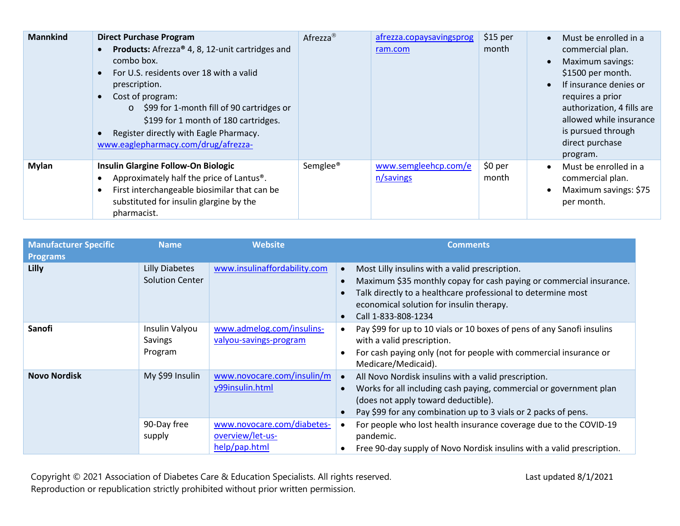| <b>Mannkind</b> | <b>Direct Purchase Program</b><br><b>Products:</b> Afrezza® 4, 8, 12-unit cartridges and<br>combo box.<br>For U.S. residents over 18 with a valid<br>prescription.<br>Cost of program:<br>○ \$99 for 1-month fill of 90 cartridges or<br>\$199 for 1 month of 180 cartridges.<br>Register directly with Eagle Pharmacy.<br>www.eaglepharmacy.com/drug/afrezza- | Afrezza <sup>®</sup> | afrezza.copaysavingsprog<br>ram.com | $$15$ per<br>month | Must be enrolled in a<br>$\bullet$<br>commercial plan.<br>Maximum savings:<br>$\bullet$<br>\$1500 per month.<br>If insurance denies or<br>$\bullet$<br>requires a prior<br>authorization, 4 fills are<br>allowed while insurance<br>is pursued through<br>direct purchase<br>program. |
|-----------------|----------------------------------------------------------------------------------------------------------------------------------------------------------------------------------------------------------------------------------------------------------------------------------------------------------------------------------------------------------------|----------------------|-------------------------------------|--------------------|---------------------------------------------------------------------------------------------------------------------------------------------------------------------------------------------------------------------------------------------------------------------------------------|
| <b>Mylan</b>    | <b>Insulin Glargine Follow-On Biologic</b><br>Approximately half the price of Lantus®.<br>First interchangeable biosimilar that can be<br>substituted for insulin glargine by the<br>pharmacist.                                                                                                                                                               | Semglee <sup>®</sup> | www.semgleehcp.com/e<br>n/savings   | \$0 per<br>month   | Must be enrolled in a<br>$\bullet$<br>commercial plan.<br>Maximum savings: \$75<br>$\bullet$<br>per month.                                                                                                                                                                            |

| <b>Manufacturer Specific</b><br><b>Programs</b> | <b>Name</b>                                     | <b>Website</b>                                                  | <b>Comments</b>                                                                                                                                                                                                                                          |
|-------------------------------------------------|-------------------------------------------------|-----------------------------------------------------------------|----------------------------------------------------------------------------------------------------------------------------------------------------------------------------------------------------------------------------------------------------------|
| Lilly                                           | <b>Lilly Diabetes</b><br><b>Solution Center</b> | www.insulinaffordability.com                                    | Most Lilly insulins with a valid prescription.<br>Maximum \$35 monthly copay for cash paying or commercial insurance.<br>Talk directly to a healthcare professional to determine most<br>economical solution for insulin therapy.<br>Call 1-833-808-1234 |
| Sanofi                                          | Insulin Valyou<br><b>Savings</b><br>Program     | www.admelog.com/insulins-<br>valyou-savings-program             | Pay \$99 for up to 10 vials or 10 boxes of pens of any Sanofi insulins<br>with a valid prescription.<br>For cash paying only (not for people with commercial insurance or<br>Medicare/Medicaid).                                                         |
| <b>Novo Nordisk</b>                             | My \$99 Insulin                                 | www.novocare.com/insulin/m<br>y99insulin.html                   | All Novo Nordisk insulins with a valid prescription.<br>Works for all including cash paying, commercial or government plan<br>(does not apply toward deductible).<br>Pay \$99 for any combination up to 3 vials or 2 packs of pens.                      |
|                                                 | 90-Day free<br>supply                           | www.novocare.com/diabetes-<br>overview/let-us-<br>help/pap.html | For people who lost health insurance coverage due to the COVID-19<br>pandemic.<br>Free 90-day supply of Novo Nordisk insulins with a valid prescription.                                                                                                 |

Copyright © 2021 Association of Diabetes Care & Education Specialists. All rights reserved. Last updated 8/1/2021 Reproduction or republication strictly prohibited without prior written permission.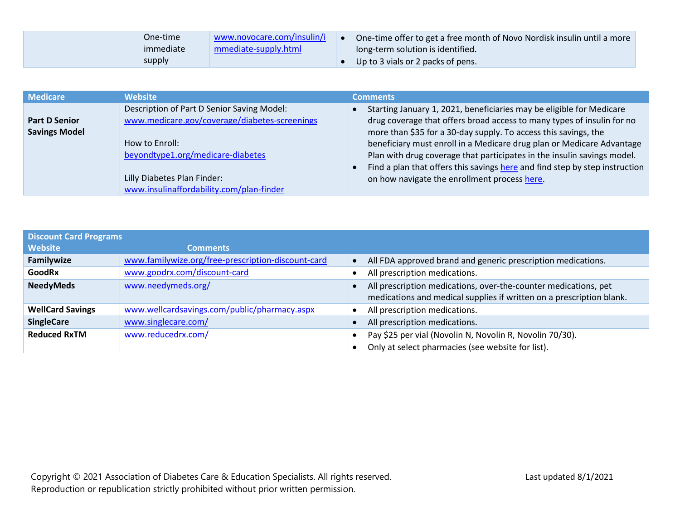| One-time  | www.novocare.com/insulin/i | One-time offer to get a free month of Novo Nordisk insulin until a more |
|-----------|----------------------------|-------------------------------------------------------------------------|
| immediate | mmediate-supply.html       | long-term solution is identified.                                       |
| supply    |                            | Up to 3 vials or 2 packs of pens.                                       |

| <b>Medicare</b>                              | <b>Website</b>                                                                                                                                                                                                                | <b>Comments</b>                                                                                                                                                                                                                                                                                                                                                                                                                                                                                      |
|----------------------------------------------|-------------------------------------------------------------------------------------------------------------------------------------------------------------------------------------------------------------------------------|------------------------------------------------------------------------------------------------------------------------------------------------------------------------------------------------------------------------------------------------------------------------------------------------------------------------------------------------------------------------------------------------------------------------------------------------------------------------------------------------------|
| <b>Part D Senior</b><br><b>Savings Model</b> | Description of Part D Senior Saving Model:<br>www.medicare.gov/coverage/diabetes-screenings<br>How to Enroll:<br>beyondtype1.org/medicare-diabetes<br>Lilly Diabetes Plan Finder:<br>www.insulinaffordability.com/plan-finder | Starting January 1, 2021, beneficiaries may be eligible for Medicare<br>drug coverage that offers broad access to many types of insulin for no<br>more than \$35 for a 30-day supply. To access this savings, the<br>beneficiary must enroll in a Medicare drug plan or Medicare Advantage<br>Plan with drug coverage that participates in the insulin savings model.<br>Find a plan that offers this savings here and find step by step instruction<br>on how navigate the enrollment process here. |

|                         | <b>Discount Card Programs</b>                      |                                                                                                                                         |  |  |  |
|-------------------------|----------------------------------------------------|-----------------------------------------------------------------------------------------------------------------------------------------|--|--|--|
| <b>Website</b>          | Comments                                           |                                                                                                                                         |  |  |  |
| Familywize              | www.familywize.org/free-prescription-discount-card | All FDA approved brand and generic prescription medications.                                                                            |  |  |  |
| <b>GoodRx</b>           | www.goodrx.com/discount-card                       | All prescription medications.                                                                                                           |  |  |  |
| <b>NeedyMeds</b>        | www.needymeds.org/                                 | All prescription medications, over-the-counter medications, pet<br>medications and medical supplies if written on a prescription blank. |  |  |  |
| <b>WellCard Savings</b> | www.wellcardsavings.com/public/pharmacy.aspx       | All prescription medications.                                                                                                           |  |  |  |
| <b>SingleCare</b>       | www.singlecare.com/                                | All prescription medications.                                                                                                           |  |  |  |
| <b>Reduced RxTM</b>     | www.reducedrx.com/                                 | Pay \$25 per vial (Novolin N, Novolin R, Novolin 70/30).<br>Only at select pharmacies (see website for list).                           |  |  |  |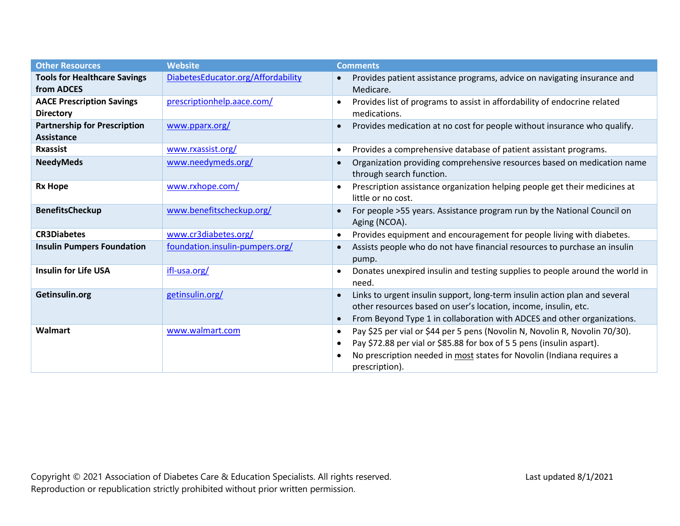| <b>Other Resources</b>                                   | <b>Website</b>                     | <b>Comments</b>                                                                                                                                                                                                                                                           |
|----------------------------------------------------------|------------------------------------|---------------------------------------------------------------------------------------------------------------------------------------------------------------------------------------------------------------------------------------------------------------------------|
| <b>Tools for Healthcare Savings</b><br>from ADCES        | DiabetesEducator.org/Affordability | Provides patient assistance programs, advice on navigating insurance and<br>Medicare.                                                                                                                                                                                     |
| <b>AACE Prescription Savings</b><br><b>Directory</b>     | prescriptionhelp.aace.com/         | Provides list of programs to assist in affordability of endocrine related<br>$\bullet$<br>medications.                                                                                                                                                                    |
| <b>Partnership for Prescription</b><br><b>Assistance</b> | www.pparx.org/                     | Provides medication at no cost for people without insurance who qualify.<br>$\bullet$                                                                                                                                                                                     |
| <b>Rxassist</b>                                          | www.rxassist.org/                  | Provides a comprehensive database of patient assistant programs.<br>$\bullet$                                                                                                                                                                                             |
| <b>NeedyMeds</b>                                         | www.needymeds.org/                 | Organization providing comprehensive resources based on medication name<br>$\bullet$<br>through search function.                                                                                                                                                          |
| <b>Rx Hope</b>                                           | www.rxhope.com/                    | Prescription assistance organization helping people get their medicines at<br>$\bullet$<br>little or no cost.                                                                                                                                                             |
| <b>BenefitsCheckup</b>                                   | www.benefitscheckup.org/           | For people >55 years. Assistance program run by the National Council on<br>$\bullet$<br>Aging (NCOA).                                                                                                                                                                     |
| <b>CR3Diabetes</b>                                       | www.cr3diabetes.org/               | Provides equipment and encouragement for people living with diabetes.<br>$\bullet$                                                                                                                                                                                        |
| <b>Insulin Pumpers Foundation</b>                        | foundation.insulin-pumpers.org/    | Assists people who do not have financial resources to purchase an insulin<br>$\bullet$<br>pump.                                                                                                                                                                           |
| <b>Insulin for Life USA</b>                              | ifl-usa.org/                       | Donates unexpired insulin and testing supplies to people around the world in<br>need.                                                                                                                                                                                     |
| Getinsulin.org                                           | getinsulin.org/                    | Links to urgent insulin support, long-term insulin action plan and several<br>$\bullet$<br>other resources based on user's location, income, insulin, etc.<br>From Beyond Type 1 in collaboration with ADCES and other organizations.<br>$\bullet$                        |
| Walmart                                                  | www.walmart.com                    | Pay \$25 per vial or \$44 per 5 pens (Novolin N, Novolin R, Novolin 70/30).<br>$\bullet$<br>Pay \$72.88 per vial or \$85.88 for box of 5 5 pens (insulin aspart).<br>$\bullet$<br>No prescription needed in most states for Novolin (Indiana requires a<br>prescription). |